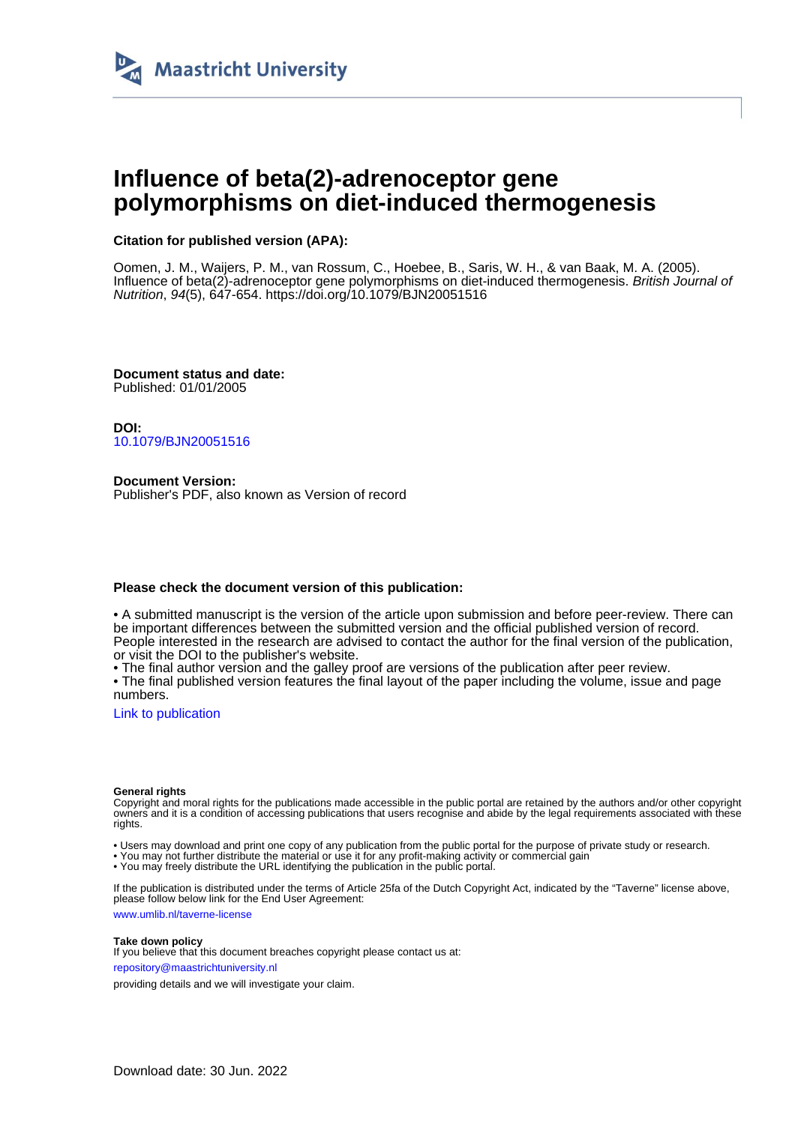

# **Influence of beta(2)-adrenoceptor gene polymorphisms on diet-induced thermogenesis**

## **Citation for published version (APA):**

Oomen, J. M., Waijers, P. M., van Rossum, C., Hoebee, B., Saris, W. H., & van Baak, M. A. (2005). Influence of beta(2)-adrenoceptor gene polymorphisms on diet-induced thermogenesis. British Journal of Nutrition, 94(5), 647-654. <https://doi.org/10.1079/BJN20051516>

**Document status and date:** Published: 01/01/2005

**DOI:** [10.1079/BJN20051516](https://doi.org/10.1079/BJN20051516)

**Document Version:** Publisher's PDF, also known as Version of record

## **Please check the document version of this publication:**

• A submitted manuscript is the version of the article upon submission and before peer-review. There can be important differences between the submitted version and the official published version of record. People interested in the research are advised to contact the author for the final version of the publication, or visit the DOI to the publisher's website.

• The final author version and the galley proof are versions of the publication after peer review.

• The final published version features the final layout of the paper including the volume, issue and page numbers.

[Link to publication](https://cris.maastrichtuniversity.nl/en/publications/12e63084-3886-4c87-8780-852dd18c9bee)

#### **General rights**

Copyright and moral rights for the publications made accessible in the public portal are retained by the authors and/or other copyright owners and it is a condition of accessing publications that users recognise and abide by the legal requirements associated with these rights.

• Users may download and print one copy of any publication from the public portal for the purpose of private study or research.

• You may not further distribute the material or use it for any profit-making activity or commercial gain

• You may freely distribute the URL identifying the publication in the public portal.

If the publication is distributed under the terms of Article 25fa of the Dutch Copyright Act, indicated by the "Taverne" license above, please follow below link for the End User Agreement:

www.umlib.nl/taverne-license

## **Take down policy**

If you believe that this document breaches copyright please contact us at: repository@maastrichtuniversity.nl

providing details and we will investigate your claim.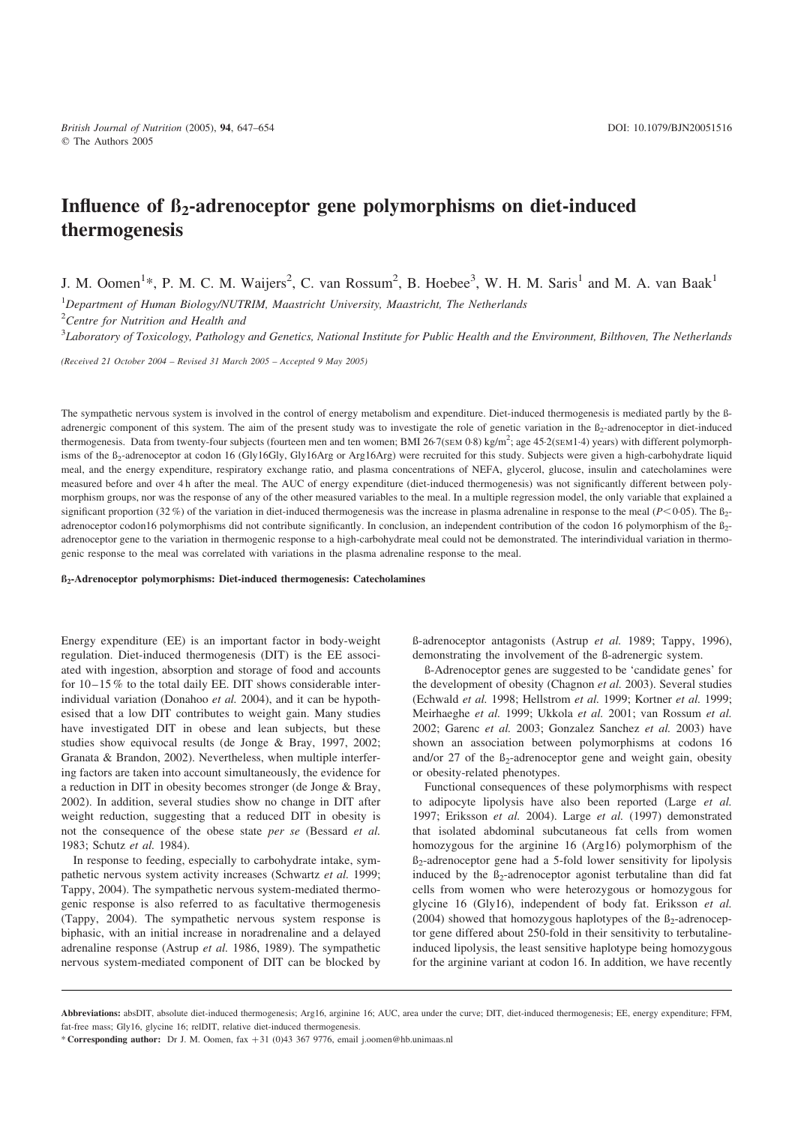## Influence of  $\beta_2$ -adrenoceptor gene polymorphisms on diet-induced thermogenesis

J. M. Oomen<sup>1</sup>\*, P. M. C. M. Waijers<sup>2</sup>, C. van Rossum<sup>2</sup>, B. Hoebee<sup>3</sup>, W. H. M. Saris<sup>1</sup> and M. A. van Baak<sup>1</sup>

<sup>1</sup>Department of Human Biology/NUTRIM, Maastricht University, Maastricht, The Netherlands

<sup>2</sup>Centre for Nutrition and Health and

 $^3$ Laboratory of Toxicology, Pathology and Genetics, National Institute for Public Health and the Environment, Bilthoven, The Netherlands

(Received 21 October 2004 – Revised 31 March 2005 – Accepted 9 May 2005)

The sympathetic nervous system is involved in the control of energy metabolism and expenditure. Diet-induced thermogenesis is mediated partly by the ßadrenergic component of this system. The aim of the present study was to investigate the role of genetic variation in the  $B_2$ -adrenoceptor in diet-induced thermogenesis. Data from twenty-four subjects (fourteen men and ten women; BMI 26·7(SEM 0·8) kg/m<sup>2</sup>; age 45·2(SEM 1·4) years) with different polymorphisms of the B<sub>2</sub>-adrenoceptor at codon 16 (Gly16Gly, Gly16Arg or Arg16Arg) were recruited for this study. Subjects were given a high-carbohydrate liquid meal, and the energy expenditure, respiratory exchange ratio, and plasma concentrations of NEFA, glycerol, glucose, insulin and catecholamines were measured before and over 4 h after the meal. The AUC of energy expenditure (diet-induced thermogenesis) was not significantly different between polymorphism groups, nor was the response of any of the other measured variables to the meal. In a multiple regression model, the only variable that explained a significant proportion (32 %) of the variation in diet-induced thermogenesis was the increase in plasma adrenaline in response to the meal ( $P<0.05$ ). The  $B<sub>2</sub>$ adrenoceptor codon16 polymorphisms did not contribute significantly. In conclusion, an independent contribution of the codon 16 polymorphism of the  $B_2$ adrenoceptor gene to the variation in thermogenic response to a high-carbohydrate meal could not be demonstrated. The interindividual variation in thermogenic response to the meal was correlated with variations in the plasma adrenaline response to the meal.

#### ß2-Adrenoceptor polymorphisms: Diet-induced thermogenesis: Catecholamines

Energy expenditure (EE) is an important factor in body-weight regulation. Diet-induced thermogenesis (DIT) is the EE associated with ingestion, absorption and storage of food and accounts for  $10-15\%$  to the total daily EE. DIT shows considerable interindividual variation (Donahoo et al. 2004), and it can be hypothesised that a low DIT contributes to weight gain. Many studies have investigated DIT in obese and lean subjects, but these studies show equivocal results (de Jonge & Bray, 1997, 2002; Granata & Brandon, 2002). Nevertheless, when multiple interfering factors are taken into account simultaneously, the evidence for a reduction in DIT in obesity becomes stronger (de Jonge & Bray, 2002). In addition, several studies show no change in DIT after weight reduction, suggesting that a reduced DIT in obesity is not the consequence of the obese state per se (Bessard et al. 1983; Schutz et al. 1984).

In response to feeding, especially to carbohydrate intake, sympathetic nervous system activity increases (Schwartz et al. 1999; Tappy, 2004). The sympathetic nervous system-mediated thermogenic response is also referred to as facultative thermogenesis (Tappy, 2004). The sympathetic nervous system response is biphasic, with an initial increase in noradrenaline and a delayed adrenaline response (Astrup et al. 1986, 1989). The sympathetic nervous system-mediated component of DIT can be blocked by ß-adrenoceptor antagonists (Astrup et al. 1989; Tappy, 1996), demonstrating the involvement of the ß-adrenergic system.

ß-Adrenoceptor genes are suggested to be 'candidate genes' for the development of obesity (Chagnon et al. 2003). Several studies (Echwald et al. 1998; Hellstrom et al. 1999; Kortner et al. 1999; Meirhaeghe et al. 1999; Ukkola et al. 2001; van Rossum et al. 2002; Garenc et al. 2003; Gonzalez Sanchez et al. 2003) have shown an association between polymorphisms at codons 16 and/or 27 of the  $\beta_2$ -adrenoceptor gene and weight gain, obesity or obesity-related phenotypes.

Functional consequences of these polymorphisms with respect to adipocyte lipolysis have also been reported (Large et al. 1997; Eriksson et al. 2004). Large et al. (1997) demonstrated that isolated abdominal subcutaneous fat cells from women homozygous for the arginine 16 (Arg16) polymorphism of the  $\beta$ <sub>2</sub>-adrenoceptor gene had a 5-fold lower sensitivity for lipolysis induced by the  $\beta_2$ -adrenoceptor agonist terbutaline than did fat cells from women who were heterozygous or homozygous for glycine 16 (Gly16), independent of body fat. Eriksson et al. (2004) showed that homozygous haplotypes of the  $\beta_2$ -adrenoceptor gene differed about 250-fold in their sensitivity to terbutalineinduced lipolysis, the least sensitive haplotype being homozygous for the arginine variant at codon 16. In addition, we have recently

Abbreviations: absDIT, absolute diet-induced thermogenesis; Arg16, arginine 16; AUC, area under the curve; DIT, diet-induced thermogenesis; EE, energy expenditure; FFM, fat-free mass; Gly16, glycine 16; relDIT, relative diet-induced thermogenesis.

<sup>\*</sup> Corresponding author: Dr J. M. Oomen, fax +31 (0)43 367 9776, email j.oomen@hb.unimaas.nl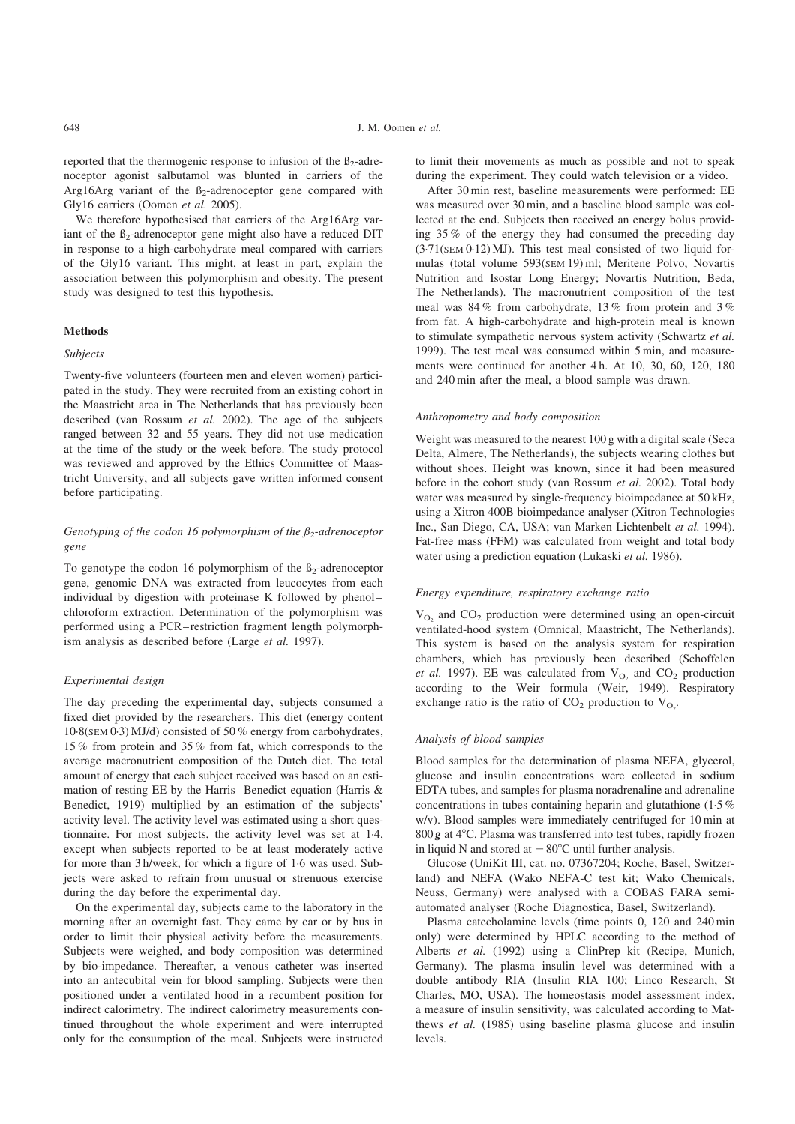reported that the thermogenic response to infusion of the  $\beta_2$ -adrenoceptor agonist salbutamol was blunted in carriers of the Arg16Arg variant of the  $\beta_2$ -adrenoceptor gene compared with Gly16 carriers (Oomen et al. 2005).

We therefore hypothesised that carriers of the Arg16Arg variant of the  $\beta_2$ -adrenoceptor gene might also have a reduced DIT in response to a high-carbohydrate meal compared with carriers of the Gly16 variant. This might, at least in part, explain the association between this polymorphism and obesity. The present study was designed to test this hypothesis.

#### **Methods**

#### Subjects

Twenty-five volunteers (fourteen men and eleven women) participated in the study. They were recruited from an existing cohort in the Maastricht area in The Netherlands that has previously been described (van Rossum et al. 2002). The age of the subjects ranged between 32 and 55 years. They did not use medication at the time of the study or the week before. The study protocol was reviewed and approved by the Ethics Committee of Maastricht University, and all subjects gave written informed consent before participating.

## Genotyping of the codon 16 polymorphism of the  $\beta_2$ -adrenoceptor gene

To genotype the codon 16 polymorphism of the  $\beta_2$ -adrenoceptor gene, genomic DNA was extracted from leucocytes from each individual by digestion with proteinase K followed by phenol– chloroform extraction. Determination of the polymorphism was performed using a PCR–restriction fragment length polymorphism analysis as described before (Large et al. 1997).

#### Experimental design

The day preceding the experimental day, subjects consumed a fixed diet provided by the researchers. This diet (energy content 10·8(SEM 0·3) MJ/d) consisted of 50 % energy from carbohydrates, 15 % from protein and 35 % from fat, which corresponds to the average macronutrient composition of the Dutch diet. The total amount of energy that each subject received was based on an estimation of resting EE by the Harris–Benedict equation (Harris & Benedict, 1919) multiplied by an estimation of the subjects' activity level. The activity level was estimated using a short questionnaire. For most subjects, the activity level was set at 1·4, except when subjects reported to be at least moderately active for more than 3 h/week, for which a figure of 1·6 was used. Subjects were asked to refrain from unusual or strenuous exercise during the day before the experimental day.

On the experimental day, subjects came to the laboratory in the morning after an overnight fast. They came by car or by bus in order to limit their physical activity before the measurements. Subjects were weighed, and body composition was determined by bio-impedance. Thereafter, a venous catheter was inserted into an antecubital vein for blood sampling. Subjects were then positioned under a ventilated hood in a recumbent position for indirect calorimetry. The indirect calorimetry measurements continued throughout the whole experiment and were interrupted only for the consumption of the meal. Subjects were instructed

to limit their movements as much as possible and not to speak during the experiment. They could watch television or a video.

After 30 min rest, baseline measurements were performed: EE was measured over 30 min, and a baseline blood sample was collected at the end. Subjects then received an energy bolus providing 35 % of the energy they had consumed the preceding day (3·71(SEM 0·12) MJ). This test meal consisted of two liquid formulas (total volume 593(SEM 19) ml; Meritene Polvo, Novartis Nutrition and Isostar Long Energy; Novartis Nutrition, Beda, The Netherlands). The macronutrient composition of the test meal was 84 % from carbohydrate, 13 % from protein and 3 % from fat. A high-carbohydrate and high-protein meal is known to stimulate sympathetic nervous system activity (Schwartz et al. 1999). The test meal was consumed within 5 min, and measurements were continued for another 4 h. At 10, 30, 60, 120, 180 and 240 min after the meal, a blood sample was drawn.

#### Anthropometry and body composition

Weight was measured to the nearest 100 g with a digital scale (Seca Delta, Almere, The Netherlands), the subjects wearing clothes but without shoes. Height was known, since it had been measured before in the cohort study (van Rossum et al. 2002). Total body water was measured by single-frequency bioimpedance at 50 kHz, using a Xitron 400B bioimpedance analyser (Xitron Technologies Inc., San Diego, CA, USA; van Marken Lichtenbelt et al. 1994). Fat-free mass (FFM) was calculated from weight and total body water using a prediction equation (Lukaski et al. 1986).

#### Energy expenditure, respiratory exchange ratio

 $V_{\text{O}_2}$  and  $CO_2$  production were determined using an open-circuit ventilated-hood system (Omnical, Maastricht, The Netherlands). This system is based on the analysis system for respiration chambers, which has previously been described (Schoffelen et al. 1997). EE was calculated from  $V_{O_2}$  and  $CO_2$  production according to the Weir formula (Weir, 1949). Respiratory exchange ratio is the ratio of  $CO_2$  production to  $V_{O_2}$ .

## Analysis of blood samples

Blood samples for the determination of plasma NEFA, glycerol, glucose and insulin concentrations were collected in sodium EDTA tubes, and samples for plasma noradrenaline and adrenaline concentrations in tubes containing heparin and glutathione (1·5 % w/v). Blood samples were immediately centrifuged for 10 min at  $800$  *g* at  $4^{\circ}$ C. Plasma was transferred into test tubes, rapidly frozen in liquid N and stored at  $-80^{\circ}$ C until further analysis.

Glucose (UniKit III, cat. no. 07367204; Roche, Basel, Switzerland) and NEFA (Wako NEFA-C test kit; Wako Chemicals, Neuss, Germany) were analysed with a COBAS FARA semiautomated analyser (Roche Diagnostica, Basel, Switzerland).

Plasma catecholamine levels (time points 0, 120 and 240 min only) were determined by HPLC according to the method of Alberts et al. (1992) using a ClinPrep kit (Recipe, Munich, Germany). The plasma insulin level was determined with a double antibody RIA (Insulin RIA 100; Linco Research, St Charles, MO, USA). The homeostasis model assessment index, a measure of insulin sensitivity, was calculated according to Matthews et al. (1985) using baseline plasma glucose and insulin levels.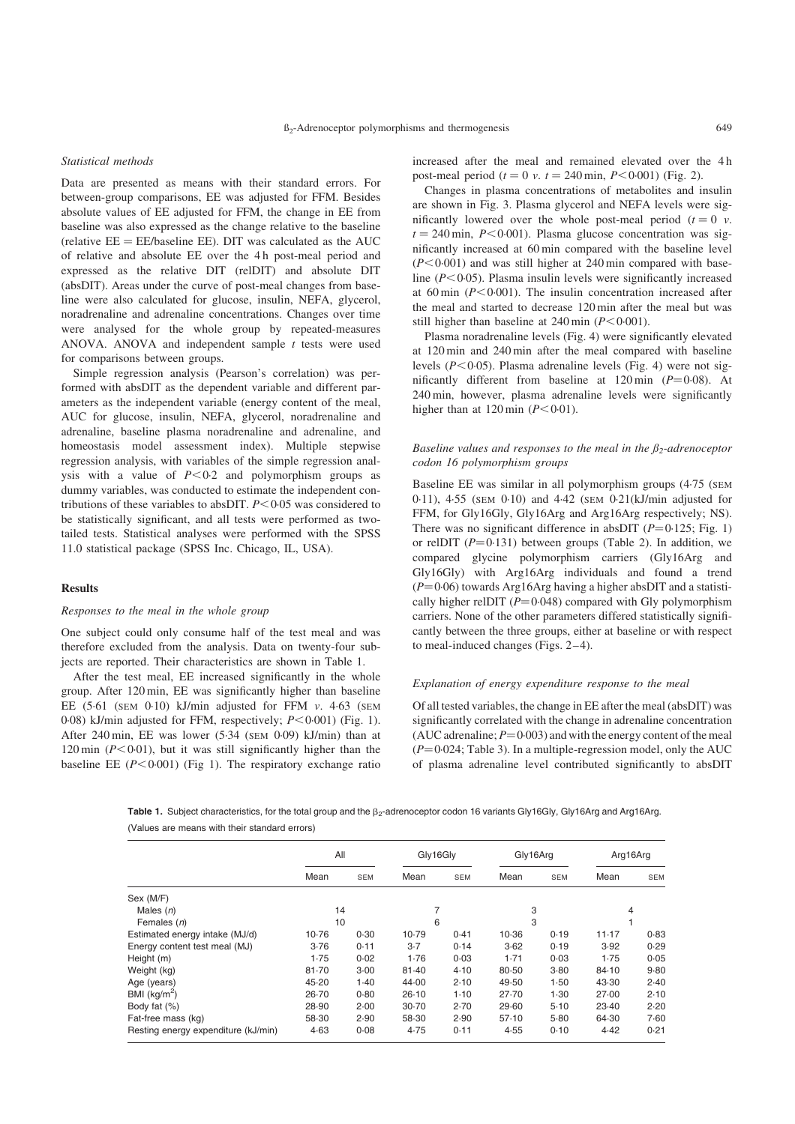#### Statistical methods

Data are presented as means with their standard errors. For between-group comparisons, EE was adjusted for FFM. Besides absolute values of EE adjusted for FFM, the change in EE from baseline was also expressed as the change relative to the baseline (relative  $EE = EE/b$ aseline  $EE$ ). DIT was calculated as the AUC of relative and absolute EE over the 4 h post-meal period and expressed as the relative DIT (relDIT) and absolute DIT (absDIT). Areas under the curve of post-meal changes from baseline were also calculated for glucose, insulin, NEFA, glycerol, noradrenaline and adrenaline concentrations. Changes over time were analysed for the whole group by repeated-measures ANOVA. ANOVA and independent sample  $t$  tests were used for comparisons between groups.

Simple regression analysis (Pearson's correlation) was performed with absDIT as the dependent variable and different parameters as the independent variable (energy content of the meal, AUC for glucose, insulin, NEFA, glycerol, noradrenaline and adrenaline, baseline plasma noradrenaline and adrenaline, and homeostasis model assessment index). Multiple stepwise regression analysis, with variables of the simple regression analysis with a value of  $P < 0.2$  and polymorphism groups as dummy variables, was conducted to estimate the independent contributions of these variables to absDIT.  $P < 0.05$  was considered to be statistically significant, and all tests were performed as twotailed tests. Statistical analyses were performed with the SPSS 11.0 statistical package (SPSS Inc. Chicago, IL, USA).

#### Results

## Responses to the meal in the whole group

One subject could only consume half of the test meal and was therefore excluded from the analysis. Data on twenty-four subjects are reported. Their characteristics are shown in Table 1.

After the test meal, EE increased significantly in the whole group. After 120 min, EE was significantly higher than baseline EE  $(5.61$  (SEM  $0.10$ ) kJ/min adjusted for FFM v. 4.63 (SEM 0·08) kJ/min adjusted for FFM, respectively;  $P < 0.001$ ) ([Fig. 1\)](#page-4-0). After 240 min, EE was lower (5·34 (SEM 0·09) kJ/min) than at 120 min ( $P<0.01$ ), but it was still significantly higher than the baseline EE  $(P<0.001)$  ([Fig 1\)](#page-4-0). The respiratory exchange ratio increased after the meal and remained elevated over the 4 h post-meal period ( $t = 0$  v.  $t = 240$  min,  $P < 0.001$ ) ([Fig. 2](#page-4-0)).

Changes in plasma concentrations of metabolites and insulin are shown in [Fig. 3.](#page-5-0) Plasma glycerol and NEFA levels were significantly lowered over the whole post-meal period  $(t = 0 \, v.$  $t = 240$  min,  $P < 0.001$ ). Plasma glucose concentration was significantly increased at 60 min compared with the baseline level  $(P<0.001)$  and was still higher at 240 min compared with baseline  $(P<0.05)$ . Plasma insulin levels were significantly increased at 60 min  $(P<0.001)$ . The insulin concentration increased after the meal and started to decrease 120 min after the meal but was still higher than baseline at  $240 \text{ min } (P \le 0.001)$ .

Plasma noradrenaline levels ([Fig. 4\)](#page-5-0) were significantly elevated at 120 min and 240 min after the meal compared with baseline levels ( $P < 0.05$ ). Plasma adrenaline levels ([Fig. 4\)](#page-5-0) were not significantly different from baseline at  $120 \text{ min}$  ( $P=0.08$ ). At 240 min, however, plasma adrenaline levels were significantly higher than at  $120 \text{ min } (P < 0.01)$ .

## Baseline values and responses to the meal in the  $\beta_2$ -adrenoceptor codon 16 polymorphism groups

Baseline EE was similar in all polymorphism groups (4·75 (SEM 0·11), 4·55 (SEM 0·10) and 4·42 (SEM 0·21(kJ/min adjusted for FFM, for Gly16Gly, Gly16Arg and Arg16Arg respectively; NS). There was no significant difference in absDIT  $(P=0.125; Fig. 1)$  $(P=0.125; Fig. 1)$ or relDIT  $(P=0.131)$  between groups [\(Table 2\).](#page-6-0) In addition, we compared glycine polymorphism carriers (Gly16Arg and Gly16Gly) with Arg16Arg individuals and found a trend  $(P=0.06)$  towards Arg16Arg having a higher absDIT and a statistically higher relDIT ( $P=0.048$ ) compared with Gly polymorphism carriers. None of the other parameters differed statistically significantly between the three groups, either at baseline or with respect to meal-induced changes ([Figs. 2–4\)](#page-4-0).

#### Explanation of energy expenditure response to the meal

Of all tested variables, the change in EE after the meal (absDIT) was significantly correlated with the change in adrenaline concentration (AUC adrenaline;  $P = 0.003$ ) and with the energy content of the meal  $(P=0.024;$  [Table 3\)](#page-6-0). In a multiple-regression model, only the AUC of plasma adrenaline level contributed significantly to absDIT

Table 1. Subject characteristics, for the total group and the  $\beta_2$ -adrenoceptor codon 16 variants Gly16Gly, Gly16Arg and Arg16Arg. (Values are means with their standard errors)

|                                     | All       |            | Gly16Gly |            | Gly16Arg |            | Arg16Arg |      |
|-------------------------------------|-----------|------------|----------|------------|----------|------------|----------|------|
|                                     | Mean      | <b>SEM</b> | Mean     | <b>SEM</b> | Mean     | <b>SEM</b> | Mean     | SEM  |
| Sex (M/F)                           |           |            |          |            |          |            |          |      |
| Males $(n)$                         | 14        |            |          |            | 3        |            | 4        |      |
| Females (n)                         |           | 10<br>6    |          | 3          |          |            |          |      |
| Estimated energy intake (MJ/d)      | 10.76     | 0.30       | 10.79    | 0.41       | 10.36    | 0.19       | 11.17    | 0.83 |
| Energy content test meal (MJ)       | 3.76      | 0.11       | $3-7$    | 0.14       | 3.62     | 0.19       | 3.92     | 0.29 |
| Height (m)                          | 1.75      | 0.02       | 1.76     | 0.03       | 1.71     | 0.03       | 1.75     | 0.05 |
| Weight (kg)                         | $81 - 70$ | 3.00       | 81.40    | 4.10       | 80.50    | 3.80       | 84.10    | 9.80 |
| Age (years)                         | 45.20     | 1.40       | 44.00    | 2.10       | 49.50    | 1.50       | 43.30    | 2.40 |
| BMI $(kq/m2)$                       | 26.70     | 0.80       | 26.10    | $1-10$     | 27.70    | 1.30       | 27.00    | 2.10 |
| Body fat $(\%)$                     | 28.90     | 2.00       | 30.70    | 2.70       | 29.60    | 5.10       | 23.40    | 2.20 |
| Fat-free mass (kg)                  | 58.30     | 2.90       | 58.30    | 2.90       | 57.10    | 5.80       | 64.30    | 7.60 |
| Resting energy expenditure (kJ/min) | 4.63      | 0.08       | 4.75     | 0.11       | 4.55     | 0.10       | 4.42     | 0.21 |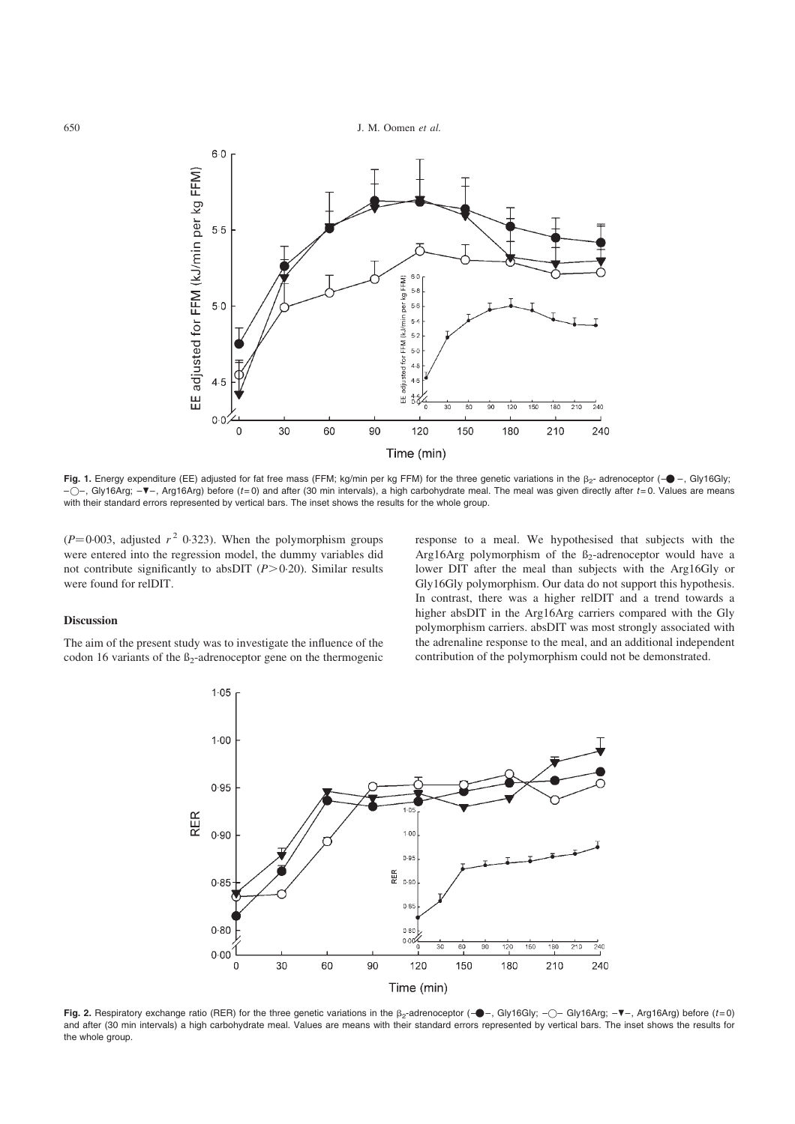<span id="page-4-0"></span>

Fig. 1. Energy expenditure (EE) adjusted for fat free mass (FFM; kg/min per kg FFM) for the three genetic variations in the  $\beta_{2}$ - adrenoceptor (- $\blacklozenge$  -, Gly16Gly;  $-$  – Gly16Arg;  $-\nabla$ –, Arg16Arg) before (t=0) and after (30 min intervals), a high carbohydrate meal. The meal was given directly after t=0. Values are means with their standard errors represented by vertical bars. The inset shows the results for the whole group.

 $(P=0.003$ , adjusted  $r^2$  0.323). When the polymorphism groups were entered into the regression model, the dummy variables did not contribute significantly to absDIT  $(P>0.20)$ . Similar results were found for relDIT.

#### Discussion

The aim of the present study was to investigate the influence of the codon 16 variants of the  $\beta_2$ -adrenoceptor gene on the thermogenic response to a meal. We hypothesised that subjects with the Arg16Arg polymorphism of the  $\beta_2$ -adrenoceptor would have a lower DIT after the meal than subjects with the Arg16Gly or Gly16Gly polymorphism. Our data do not support this hypothesis. In contrast, there was a higher relDIT and a trend towards a higher absDIT in the Arg16Arg carriers compared with the Gly polymorphism carriers. absDIT was most strongly associated with the adrenaline response to the meal, and an additional independent contribution of the polymorphism could not be demonstrated.



Fig. 2. Respiratory exchange ratio (RER) for the three genetic variations in the  $\beta_2$ -adrenoceptor (- $\bullet$ -, Gly16Gly; - $\circ$ - Gly16Arg; - $\blacktriangledown$ -, Arg16Arg) before (t=0) and after (30 min intervals) a high carbohydrate meal. Values are means with their standard errors represented by vertical bars. The inset shows the results for the whole group.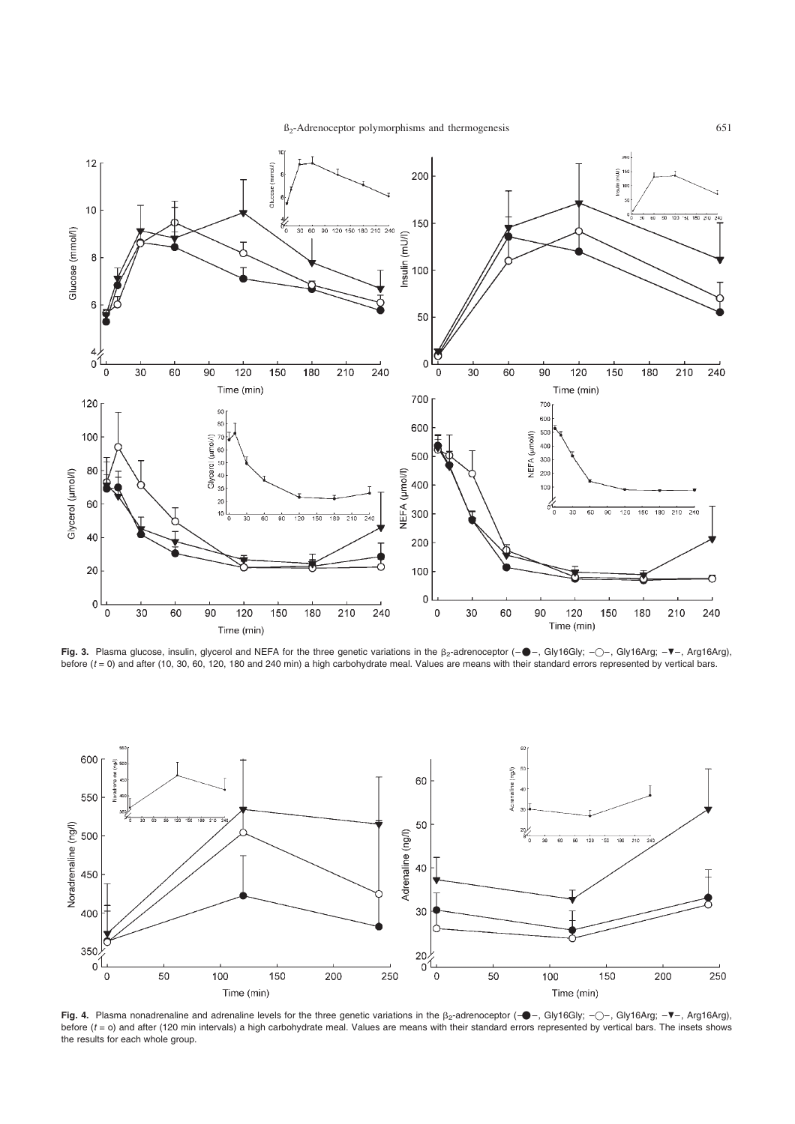$B_2$ -Adrenoceptor polymorphisms and thermogenesis 651

<span id="page-5-0"></span>

**Fig. 3.** Plasma glucose, insulin, glycerol and NEFA for the three genetic variations in the β<sub>2</sub>-adrenoceptor (-●-, Gly16Gly; -○-, Gly16Arg; -▼-, Arg16Arg),<br>before (*t* = 0) and after (10, 30, 60, 120, 180 and 240 min) a



Fig. 4. Plasma nonadrenaline and adrenaline levels for the three genetic variations in the  $\beta_2$ -adrenoceptor (- $\bullet$ -, Gly16Gly; - $\circ$ -, Gly16Arg; - $\blacktriangledown$ -, Arg16Arg), before (t = o) and after (120 min intervals) a high carbohydrate meal. Values are means with their standard errors represented by vertical bars. The insets shows the results for each whole group.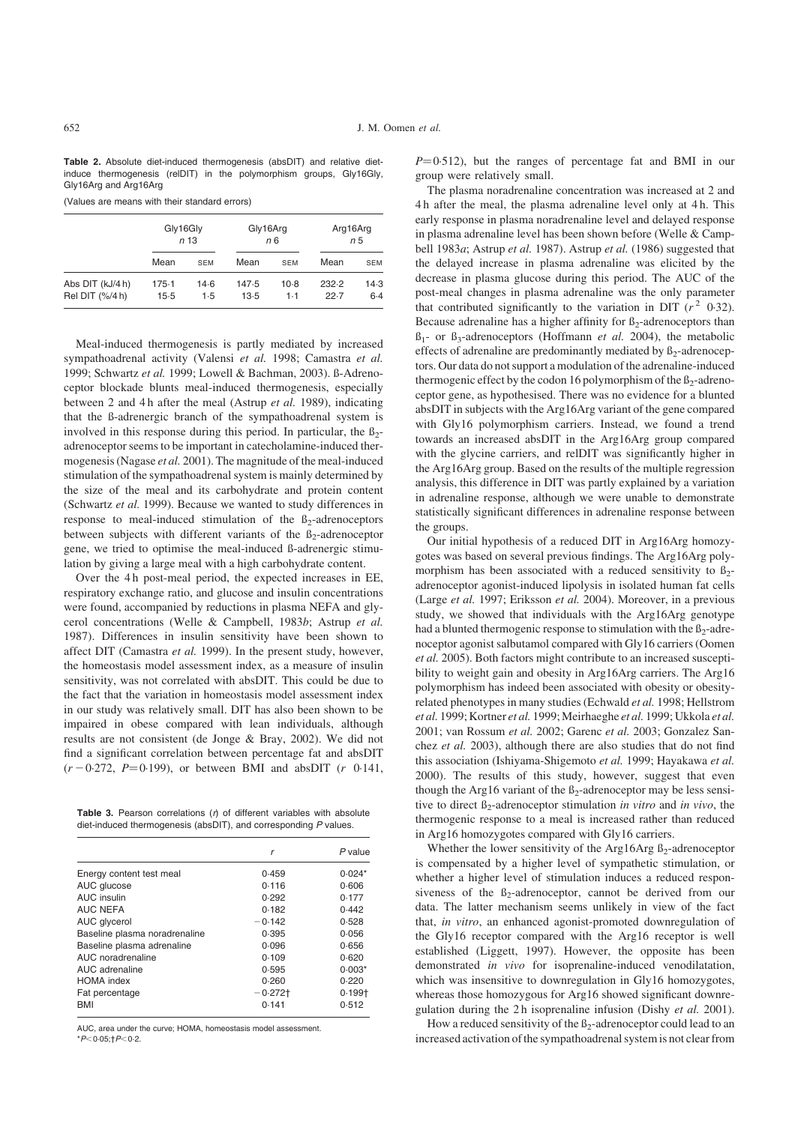<span id="page-6-0"></span>Table 2. Absolute diet-induced thermogenesis (absDIT) and relative dietinduce thermogenesis (relDIT) in the polymorphism groups, Gly16Gly, Gly16Arg and Arg16Arg

(Values are means with their standard errors)

|                                     | Gly16Gly<br>n <sub>13</sub> |               | Gly16Arg      | n6            | Arg16Arg<br>n 5 |               |
|-------------------------------------|-----------------------------|---------------|---------------|---------------|-----------------|---------------|
|                                     | Mean                        | <b>SEM</b>    | Mean          | <b>SEM</b>    | Mean            | <b>SEM</b>    |
| Abs DIT (kJ/4 h)<br>Rel DIT (%/4 h) | $175-1$<br>$15-5$           | $14-6$<br>1.5 | 147.5<br>13.5 | $10-8$<br>1.1 | 232.2<br>22.7   | 14.3<br>$6-4$ |

Meal-induced thermogenesis is partly mediated by increased sympathoadrenal activity (Valensi et al. 1998; Camastra et al. 1999; Schwartz et al. 1999; Lowell & Bachman, 2003). ß-Adrenoceptor blockade blunts meal-induced thermogenesis, especially between 2 and 4h after the meal (Astrup et al. 1989), indicating that the ß-adrenergic branch of the sympathoadrenal system is involved in this response during this period. In particular, the  $\beta_2$ adrenoceptor seems to be important in catecholamine-induced thermogenesis (Nagase et al. 2001). The magnitude of the meal-induced stimulation of the sympathoadrenal system is mainly determined by the size of the meal and its carbohydrate and protein content (Schwartz et al. 1999). Because we wanted to study differences in response to meal-induced stimulation of the  $\beta_2$ -adrenoceptors between subjects with different variants of the  $\beta_2$ -adrenoceptor gene, we tried to optimise the meal-induced ß-adrenergic stimulation by giving a large meal with a high carbohydrate content.

Over the 4 h post-meal period, the expected increases in EE, respiratory exchange ratio, and glucose and insulin concentrations were found, accompanied by reductions in plasma NEFA and glycerol concentrations (Welle & Campbell, 1983b; Astrup et al. 1987). Differences in insulin sensitivity have been shown to affect DIT (Camastra et al. 1999). In the present study, however, the homeostasis model assessment index, as a measure of insulin sensitivity, was not correlated with absDIT. This could be due to the fact that the variation in homeostasis model assessment index in our study was relatively small. DIT has also been shown to be impaired in obese compared with lean individuals, although results are not consistent (de Jonge & Bray, 2002). We did not find a significant correlation between percentage fat and absDIT  $(r - 0.272, P = 0.199)$ , or between BMI and absDIT (r 0.141,

Table 3. Pearson correlations  $(r)$  of different variables with absolute diet-induced thermogenesis (absDIT), and corresponding P values.

|                               | r          | $P$ value |
|-------------------------------|------------|-----------|
| Energy content test meal      | 0.459      | $0.024*$  |
| AUC glucose                   | 0.116      | 0.606     |
| AUC insulin                   | 0.292      | 0.177     |
| <b>AUC NEFA</b>               | 0.182      | 0.442     |
| AUC glycerol                  | $-0.142$   | 0.528     |
| Baseline plasma noradrenaline | 0.395      | 0.056     |
| Baseline plasma adrenaline    | 0.096      | 0.656     |
| AUC noradrenaline             | 0.109      | 0.620     |
| AUC adrenaline                | 0.595      | $0.003*$  |
| <b>HOMA</b> index             | 0.260      | 0.220     |
| Fat percentage                | $-0.272$ t | $0.199+$  |
| <b>BMI</b>                    | 0.141      | 0.512     |

AUC, area under the curve; HOMA, homeostasis model assessment.

 $*P<0.05$ ; †  $P<0.2$ .

 $P=0.512$ ), but the ranges of percentage fat and BMI in our group were relatively small.

The plasma noradrenaline concentration was increased at 2 and 4 h after the meal, the plasma adrenaline level only at 4 h. This early response in plasma noradrenaline level and delayed response in plasma adrenaline level has been shown before (Welle & Campbell 1983a; Astrup et al. 1987). Astrup et al. (1986) suggested that the delayed increase in plasma adrenaline was elicited by the decrease in plasma glucose during this period. The AUC of the post-meal changes in plasma adrenaline was the only parameter that contributed significantly to the variation in DIT  $(r^2 \ 0.32)$ . Because adrenaline has a higher affinity for  $\beta_2$ -adrenoceptors than  $B_1$ - or  $B_3$ -adrenoceptors (Hoffmann *et al.* 2004), the metabolic effects of adrenaline are predominantly mediated by  $\beta_2$ -adrenoceptors. Our data do not support a modulation of the adrenaline-induced thermogenic effect by the codon 16 polymorphism of the  $\beta_2$ -adrenoceptor gene, as hypothesised. There was no evidence for a blunted absDIT in subjects with the Arg16Arg variant of the gene compared with Gly16 polymorphism carriers. Instead, we found a trend towards an increased absDIT in the Arg16Arg group compared with the glycine carriers, and relDIT was significantly higher in the Arg16Arg group. Based on the results of the multiple regression analysis, this difference in DIT was partly explained by a variation in adrenaline response, although we were unable to demonstrate statistically significant differences in adrenaline response between the groups.

Our initial hypothesis of a reduced DIT in Arg16Arg homozygotes was based on several previous findings. The Arg16Arg polymorphism has been associated with a reduced sensitivity to  $\beta_2$ adrenoceptor agonist-induced lipolysis in isolated human fat cells (Large et al. 1997; Eriksson et al. 2004). Moreover, in a previous study, we showed that individuals with the Arg16Arg genotype had a blunted thermogenic response to stimulation with the  $\beta_2$ -adrenoceptor agonist salbutamol compared with Gly16 carriers (Oomen et al. 2005). Both factors might contribute to an increased susceptibility to weight gain and obesity in Arg16Arg carriers. The Arg16 polymorphism has indeed been associated with obesity or obesityrelated phenotypes in many studies (Echwald et al. 1998; Hellstrom et al. 1999; Kortner et al. 1999; Meirhaeghe et al. 1999; Ukkola et al. 2001; van Rossum et al. 2002; Garenc et al. 2003; Gonzalez Sanchez et al. 2003), although there are also studies that do not find this association (Ishiyama-Shigemoto et al. 1999; Hayakawa et al. 2000). The results of this study, however, suggest that even though the Arg16 variant of the  $\beta_2$ -adrenoceptor may be less sensitive to direct  $\beta_2$ -adrenoceptor stimulation in vitro and in vivo, the thermogenic response to a meal is increased rather than reduced in Arg16 homozygotes compared with Gly16 carriers.

Whether the lower sensitivity of the Arg16Arg  $\beta_2$ -adrenoceptor is compensated by a higher level of sympathetic stimulation, or whether a higher level of stimulation induces a reduced responsiveness of the  $B_2$ -adrenoceptor, cannot be derived from our data. The latter mechanism seems unlikely in view of the fact that, in vitro, an enhanced agonist-promoted downregulation of the Gly16 receptor compared with the Arg16 receptor is well established (Liggett, 1997). However, the opposite has been demonstrated in vivo for isoprenaline-induced venodilatation, which was insensitive to downregulation in Gly16 homozygotes, whereas those homozygous for Arg16 showed significant downregulation during the 2 h isoprenaline infusion (Dishy et al. 2001).

How a reduced sensitivity of the  $\beta_2$ -adrenoceptor could lead to an increased activation of the sympathoadrenal system is not clear from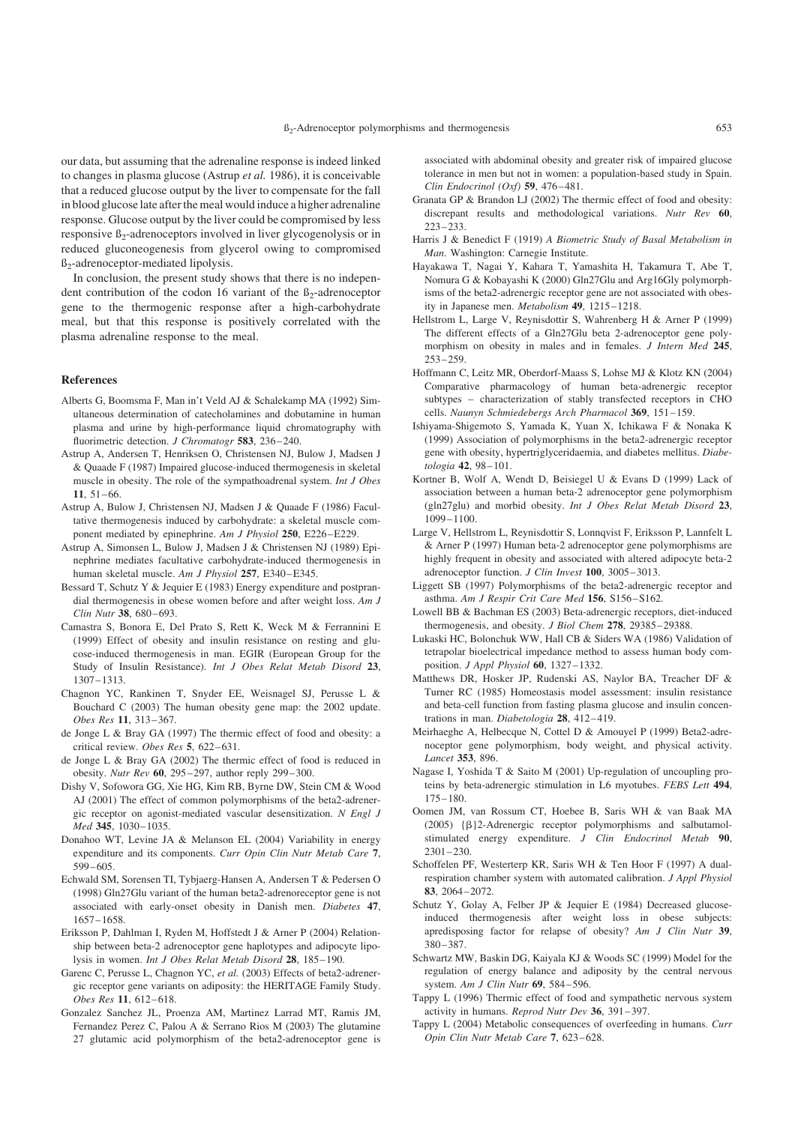our data, but assuming that the adrenaline response is indeed linked to changes in plasma glucose (Astrup et al. 1986), it is conceivable that a reduced glucose output by the liver to compensate for the fall in blood glucose late after the meal would induce a higher adrenaline response. Glucose output by the liver could be compromised by less responsive  $\beta_2$ -adrenoceptors involved in liver glycogenolysis or in reduced gluconeogenesis from glycerol owing to compromised ß2-adrenoceptor-mediated lipolysis.

In conclusion, the present study shows that there is no independent contribution of the codon 16 variant of the  $\beta_2$ -adrenoceptor gene to the thermogenic response after a high-carbohydrate meal, but that this response is positively correlated with the plasma adrenaline response to the meal.

#### References

- Alberts G, Boomsma F, Man in't Veld AJ & Schalekamp MA (1992) Simultaneous determination of catecholamines and dobutamine in human plasma and urine by high-performance liquid chromatography with fluorimetric detection. J Chromatogr 583, 236-240.
- Astrup A, Andersen T, Henriksen O, Christensen NJ, Bulow J, Madsen J & Quaade F (1987) Impaired glucose-induced thermogenesis in skeletal muscle in obesity. The role of the sympathoadrenal system. Int J Obes 11, 51–66.
- Astrup A, Bulow J, Christensen NJ, Madsen J & Quaade F (1986) Facultative thermogenesis induced by carbohydrate: a skeletal muscle component mediated by epinephrine. Am J Physiol 250, E226–E229.
- Astrup A, Simonsen L, Bulow J, Madsen J & Christensen NJ (1989) Epinephrine mediates facultative carbohydrate-induced thermogenesis in human skeletal muscle. Am J Physiol 257, E340–E345.
- Bessard T, Schutz Y & Jequier E (1983) Energy expenditure and postprandial thermogenesis in obese women before and after weight loss. Am J Clin Nutr 38, 680–693.
- Camastra S, Bonora E, Del Prato S, Rett K, Weck M & Ferrannini E (1999) Effect of obesity and insulin resistance on resting and glucose-induced thermogenesis in man. EGIR (European Group for the Study of Insulin Resistance). Int J Obes Relat Metab Disord 23, 1307–1313.
- Chagnon YC, Rankinen T, Snyder EE, Weisnagel SJ, Perusse L & Bouchard C (2003) The human obesity gene map: the 2002 update. Obes Res 11, 313–367.
- de Jonge L & Bray GA (1997) The thermic effect of food and obesity: a critical review. Obes Res 5, 622–631.
- de Jonge L & Bray GA (2002) The thermic effect of food is reduced in obesity. Nutr Rev 60, 295–297, author reply 299–300.
- Dishy V, Sofowora GG, Xie HG, Kim RB, Byrne DW, Stein CM & Wood AJ (2001) The effect of common polymorphisms of the beta2-adrenergic receptor on agonist-mediated vascular desensitization. N Engl J Med 345, 1030–1035.
- Donahoo WT, Levine JA & Melanson EL (2004) Variability in energy expenditure and its components. Curr Opin Clin Nutr Metab Care 7, 599–605.
- Echwald SM, Sorensen TI, Tybjaerg-Hansen A, Andersen T & Pedersen O (1998) Gln27Glu variant of the human beta2-adrenoreceptor gene is not associated with early-onset obesity in Danish men. Diabetes 47, 1657–1658.
- Eriksson P, Dahlman I, Ryden M, Hoffstedt J & Arner P (2004) Relationship between beta-2 adrenoceptor gene haplotypes and adipocyte lipolysis in women. Int J Obes Relat Metab Disord 28, 185–190.
- Garenc C, Perusse L, Chagnon YC, et al. (2003) Effects of beta2-adrenergic receptor gene variants on adiposity: the HERITAGE Family Study. Obes Res 11, 612–618.
- Gonzalez Sanchez JL, Proenza AM, Martinez Larrad MT, Ramis JM, Fernandez Perez C, Palou A & Serrano Rios M (2003) The glutamine 27 glutamic acid polymorphism of the beta2-adrenoceptor gene is

associated with abdominal obesity and greater risk of impaired glucose tolerance in men but not in women: a population-based study in Spain. Clin Endocrinol (Oxf) 59, 476–481.

- Granata GP & Brandon LJ (2002) The thermic effect of food and obesity: discrepant results and methodological variations. Nutr Rev 60, 223–233.
- Harris J & Benedict F (1919) A Biometric Study of Basal Metabolism in Man. Washington: Carnegie Institute.
- Hayakawa T, Nagai Y, Kahara T, Yamashita H, Takamura T, Abe T, Nomura G & Kobayashi K (2000) Gln27Glu and Arg16Gly polymorphisms of the beta2-adrenergic receptor gene are not associated with obesity in Japanese men. Metabolism 49, 1215–1218.
- Hellstrom L, Large V, Reynisdottir S, Wahrenberg H & Arner P (1999) The different effects of a Gln27Glu beta 2-adrenoceptor gene polymorphism on obesity in males and in females. J Intern Med 245, 253–259.
- Hoffmann C, Leitz MR, Oberdorf-Maass S, Lohse MJ & Klotz KN (2004) Comparative pharmacology of human beta-adrenergic receptor subtypes – characterization of stably transfected receptors in CHO cells. Naunyn Schmiedebergs Arch Pharmacol 369, 151–159.
- Ishiyama-Shigemoto S, Yamada K, Yuan X, Ichikawa F & Nonaka K (1999) Association of polymorphisms in the beta2-adrenergic receptor gene with obesity, hypertriglyceridaemia, and diabetes mellitus. Diabetologia 42, 98–101.
- Kortner B, Wolf A, Wendt D, Beisiegel U & Evans D (1999) Lack of association between a human beta-2 adrenoceptor gene polymorphism (gln27glu) and morbid obesity. Int J Obes Relat Metab Disord 23, 1099–1100.
- Large V, Hellstrom L, Reynisdottir S, Lonnqvist F, Eriksson P, Lannfelt L & Arner P (1997) Human beta-2 adrenoceptor gene polymorphisms are highly frequent in obesity and associated with altered adipocyte beta-2 adrenoceptor function. J Clin Invest 100, 3005–3013.
- Liggett SB (1997) Polymorphisms of the beta2-adrenergic receptor and asthma. Am J Respir Crit Care Med 156, S156–S162.
- Lowell BB & Bachman ES (2003) Beta-adrenergic receptors, diet-induced thermogenesis, and obesity. *J Biol Chem* 278, 29385-29388.
- Lukaski HC, Bolonchuk WW, Hall CB & Siders WA (1986) Validation of tetrapolar bioelectrical impedance method to assess human body composition. J Appl Physiol 60, 1327–1332.
- Matthews DR, Hosker JP, Rudenski AS, Naylor BA, Treacher DF & Turner RC (1985) Homeostasis model assessment: insulin resistance and beta-cell function from fasting plasma glucose and insulin concentrations in man. Diabetologia 28, 412–419.
- Meirhaeghe A, Helbecque N, Cottel D & Amouyel P (1999) Beta2-adrenoceptor gene polymorphism, body weight, and physical activity. Lancet 353, 896.
- Nagase I, Yoshida T & Saito M (2001) Up-regulation of uncoupling proteins by beta-adrenergic stimulation in L6 myotubes. FEBS Lett 494, 175–180.
- Oomen JM, van Rossum CT, Hoebee B, Saris WH & van Baak MA (2005)  ${\beta}$ 2-Adrenergic receptor polymorphisms and salbutamolstimulated energy expenditure. J Clin Endocrinol Metab 90, 2301–230.
- Schoffelen PF, Westerterp KR, Saris WH & Ten Hoor F (1997) A dualrespiration chamber system with automated calibration. J Appl Physiol 83, 2064–2072.
- Schutz Y, Golay A, Felber JP & Jequier E (1984) Decreased glucoseinduced thermogenesis after weight loss in obese subjects: apredisposing factor for relapse of obesity? Am J Clin Nutr 39, 380–387.
- Schwartz MW, Baskin DG, Kaiyala KJ & Woods SC (1999) Model for the regulation of energy balance and adiposity by the central nervous system. Am J Clin Nutr 69, 584–596.
- Tappy L (1996) Thermic effect of food and sympathetic nervous system activity in humans. Reprod Nutr Dev 36, 391–397.
- Tappy L (2004) Metabolic consequences of overfeeding in humans. Curr Opin Clin Nutr Metab Care 7, 623–628.